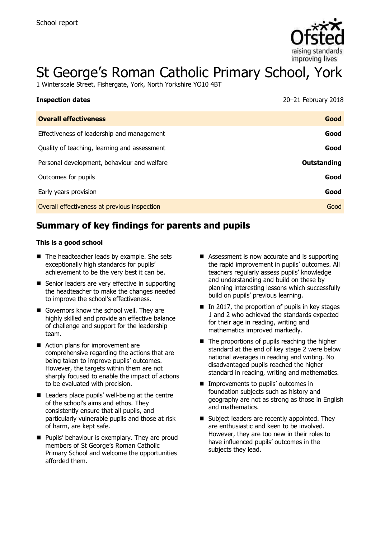

# St George's Roman Catholic Primary School, York

1 Winterscale Street, Fishergate, York, North Yorkshire YO10 4BT

| <b>Inspection dates</b>                      | 20-21 February 2018 |
|----------------------------------------------|---------------------|
| <b>Overall effectiveness</b>                 | Good                |
| Effectiveness of leadership and management   | Good                |
| Quality of teaching, learning and assessment | Good                |
| Personal development, behaviour and welfare  | Outstanding         |
| Outcomes for pupils                          | Good                |
| Early years provision                        | Good                |
| Overall effectiveness at previous inspection | Good                |

# **Summary of key findings for parents and pupils**

#### **This is a good school**

- The headteacher leads by example. She sets exceptionally high standards for pupils' achievement to be the very best it can be.
- Senior leaders are very effective in supporting the headteacher to make the changes needed to improve the school's effectiveness.
- Governors know the school well. They are highly skilled and provide an effective balance of challenge and support for the leadership team.
- Action plans for improvement are comprehensive regarding the actions that are being taken to improve pupils' outcomes. However, the targets within them are not sharply focused to enable the impact of actions to be evaluated with precision.
- Leaders place pupils' well-being at the centre of the school's aims and ethos. They consistently ensure that all pupils, and particularly vulnerable pupils and those at risk of harm, are kept safe.
- **Pupils' behaviour is exemplary. They are proud** members of St George's Roman Catholic Primary School and welcome the opportunities afforded them.
- Assessment is now accurate and is supporting the rapid improvement in pupils' outcomes. All teachers regularly assess pupils' knowledge and understanding and build on these by planning interesting lessons which successfully build on pupils' previous learning.
- $\blacksquare$  In 2017, the proportion of pupils in key stages 1 and 2 who achieved the standards expected for their age in reading, writing and mathematics improved markedly.
- The proportions of pupils reaching the higher standard at the end of key stage 2 were below national averages in reading and writing. No disadvantaged pupils reached the higher standard in reading, writing and mathematics.
- **IMPROMEDIATE:** Improvements to pupils' outcomes in foundation subjects such as history and geography are not as strong as those in English and mathematics.
- Subject leaders are recently appointed. They are enthusiastic and keen to be involved. However, they are too new in their roles to have influenced pupils' outcomes in the subjects they lead.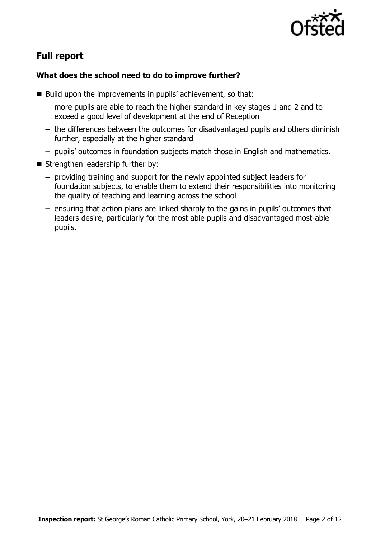

# **Full report**

### **What does the school need to do to improve further?**

- Build upon the improvements in pupils' achievement, so that:
	- more pupils are able to reach the higher standard in key stages 1 and 2 and to exceed a good level of development at the end of Reception
	- the differences between the outcomes for disadvantaged pupils and others diminish further, especially at the higher standard
	- pupils' outcomes in foundation subjects match those in English and mathematics.
- Strengthen leadership further by:
	- providing training and support for the newly appointed subject leaders for foundation subjects, to enable them to extend their responsibilities into monitoring the quality of teaching and learning across the school
	- ensuring that action plans are linked sharply to the gains in pupils' outcomes that leaders desire, particularly for the most able pupils and disadvantaged most-able pupils.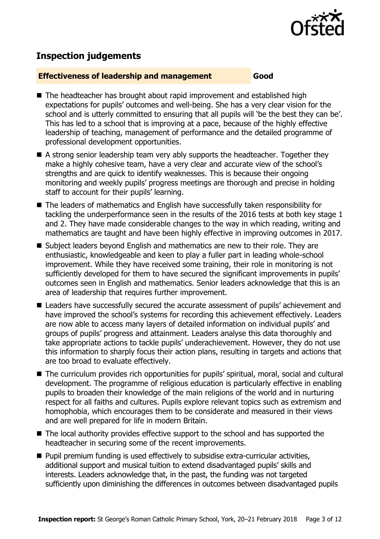

# **Inspection judgements**

#### **Effectiveness of leadership and management Good**

- The headteacher has brought about rapid improvement and established high expectations for pupils' outcomes and well-being. She has a very clear vision for the school and is utterly committed to ensuring that all pupils will 'be the best they can be'. This has led to a school that is improving at a pace, because of the highly effective leadership of teaching, management of performance and the detailed programme of professional development opportunities.
- A strong senior leadership team very ably supports the headteacher. Together they make a highly cohesive team, have a very clear and accurate view of the school's strengths and are quick to identify weaknesses. This is because their ongoing monitoring and weekly pupils' progress meetings are thorough and precise in holding staff to account for their pupils' learning.
- The leaders of mathematics and English have successfully taken responsibility for tackling the underperformance seen in the results of the 2016 tests at both key stage 1 and 2. They have made considerable changes to the way in which reading, writing and mathematics are taught and have been highly effective in improving outcomes in 2017.
- Subject leaders beyond English and mathematics are new to their role. They are enthusiastic, knowledgeable and keen to play a fuller part in leading whole-school improvement. While they have received some training, their role in monitoring is not sufficiently developed for them to have secured the significant improvements in pupils' outcomes seen in English and mathematics. Senior leaders acknowledge that this is an area of leadership that requires further improvement.
- Leaders have successfully secured the accurate assessment of pupils' achievement and have improved the school's systems for recording this achievement effectively. Leaders are now able to access many layers of detailed information on individual pupils' and groups of pupils' progress and attainment. Leaders analyse this data thoroughly and take appropriate actions to tackle pupils' underachievement. However, they do not use this information to sharply focus their action plans, resulting in targets and actions that are too broad to evaluate effectively.
- The curriculum provides rich opportunities for pupils' spiritual, moral, social and cultural development. The programme of religious education is particularly effective in enabling pupils to broaden their knowledge of the main religions of the world and in nurturing respect for all faiths and cultures. Pupils explore relevant topics such as extremism and homophobia, which encourages them to be considerate and measured in their views and are well prepared for life in modern Britain.
- The local authority provides effective support to the school and has supported the headteacher in securing some of the recent improvements.
- Pupil premium funding is used effectively to subsidise extra-curricular activities, additional support and musical tuition to extend disadvantaged pupils' skills and interests. Leaders acknowledge that, in the past, the funding was not targeted sufficiently upon diminishing the differences in outcomes between disadvantaged pupils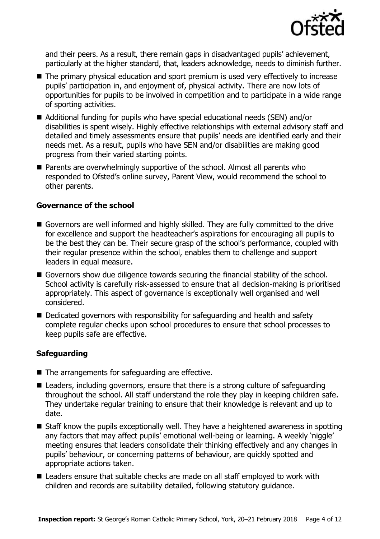

and their peers. As a result, there remain gaps in disadvantaged pupils' achievement, particularly at the higher standard, that, leaders acknowledge, needs to diminish further.

- The primary physical education and sport premium is used very effectively to increase pupils' participation in, and enjoyment of, physical activity. There are now lots of opportunities for pupils to be involved in competition and to participate in a wide range of sporting activities.
- Additional funding for pupils who have special educational needs (SEN) and/or disabilities is spent wisely. Highly effective relationships with external advisory staff and detailed and timely assessments ensure that pupils' needs are identified early and their needs met. As a result, pupils who have SEN and/or disabilities are making good progress from their varied starting points.
- **Parents are overwhelmingly supportive of the school. Almost all parents who** responded to Ofsted's online survey, Parent View, would recommend the school to other parents.

#### **Governance of the school**

- Governors are well informed and highly skilled. They are fully committed to the drive for excellence and support the headteacher's aspirations for encouraging all pupils to be the best they can be. Their secure grasp of the school's performance, coupled with their regular presence within the school, enables them to challenge and support leaders in equal measure.
- Governors show due diligence towards securing the financial stability of the school. School activity is carefully risk-assessed to ensure that all decision-making is prioritised appropriately. This aspect of governance is exceptionally well organised and well considered.
- Dedicated governors with responsibility for safeguarding and health and safety complete regular checks upon school procedures to ensure that school processes to keep pupils safe are effective.

### **Safeguarding**

- The arrangements for safeguarding are effective.
- Leaders, including governors, ensure that there is a strong culture of safeguarding throughout the school. All staff understand the role they play in keeping children safe. They undertake regular training to ensure that their knowledge is relevant and up to date.
- Staff know the pupils exceptionally well. They have a heightened awareness in spotting any factors that may affect pupils' emotional well-being or learning. A weekly 'niggle' meeting ensures that leaders consolidate their thinking effectively and any changes in pupils' behaviour, or concerning patterns of behaviour, are quickly spotted and appropriate actions taken.
- Leaders ensure that suitable checks are made on all staff employed to work with children and records are suitability detailed, following statutory guidance.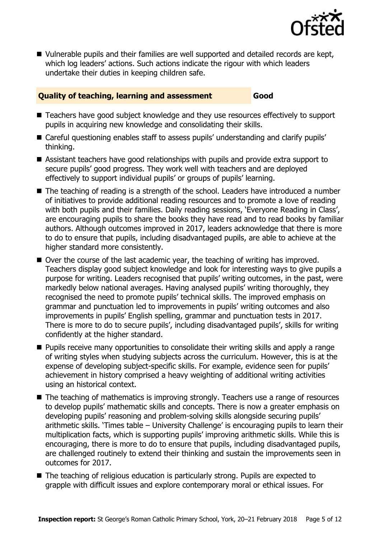

■ Vulnerable pupils and their families are well supported and detailed records are kept, which log leaders' actions. Such actions indicate the rigour with which leaders undertake their duties in keeping children safe.

#### **Quality of teaching, learning and assessment Good**

- Teachers have good subject knowledge and they use resources effectively to support pupils in acquiring new knowledge and consolidating their skills.
- Careful questioning enables staff to assess pupils' understanding and clarify pupils' thinking.
- Assistant teachers have good relationships with pupils and provide extra support to secure pupils' good progress. They work well with teachers and are deployed effectively to support individual pupils' or groups of pupils' learning.
- The teaching of reading is a strength of the school. Leaders have introduced a number of initiatives to provide additional reading resources and to promote a love of reading with both pupils and their families. Daily reading sessions, 'Everyone Reading in Class', are encouraging pupils to share the books they have read and to read books by familiar authors. Although outcomes improved in 2017, leaders acknowledge that there is more to do to ensure that pupils, including disadvantaged pupils, are able to achieve at the higher standard more consistently.
- Over the course of the last academic year, the teaching of writing has improved. Teachers display good subject knowledge and look for interesting ways to give pupils a purpose for writing. Leaders recognised that pupils' writing outcomes, in the past, were markedly below national averages. Having analysed pupils' writing thoroughly, they recognised the need to promote pupils' technical skills. The improved emphasis on grammar and punctuation led to improvements in pupils' writing outcomes and also improvements in pupils' English spelling, grammar and punctuation tests in 2017. There is more to do to secure pupils', including disadvantaged pupils', skills for writing confidently at the higher standard.
- **Pupils receive many opportunities to consolidate their writing skills and apply a range** of writing styles when studying subjects across the curriculum. However, this is at the expense of developing subject-specific skills. For example, evidence seen for pupils' achievement in history comprised a heavy weighting of additional writing activities using an historical context.
- The teaching of mathematics is improving strongly. Teachers use a range of resources to develop pupils' mathematic skills and concepts. There is now a greater emphasis on developing pupils' reasoning and problem-solving skills alongside securing pupils' arithmetic skills. 'Times table – University Challenge' is encouraging pupils to learn their multiplication facts, which is supporting pupils' improving arithmetic skills. While this is encouraging, there is more to do to ensure that pupils, including disadvantaged pupils, are challenged routinely to extend their thinking and sustain the improvements seen in outcomes for 2017.
- The teaching of religious education is particularly strong. Pupils are expected to grapple with difficult issues and explore contemporary moral or ethical issues. For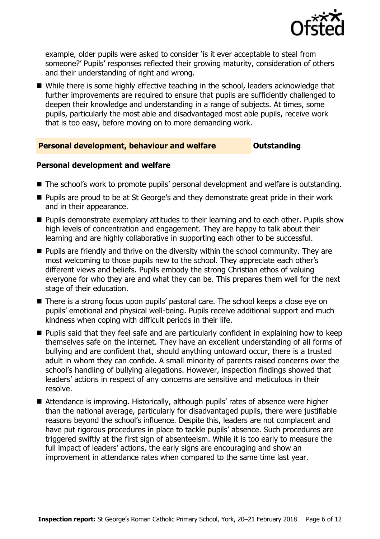

example, older pupils were asked to consider 'is it ever acceptable to steal from someone?' Pupils' responses reflected their growing maturity, consideration of others and their understanding of right and wrong.

■ While there is some highly effective teaching in the school, leaders acknowledge that further improvements are required to ensure that pupils are sufficiently challenged to deepen their knowledge and understanding in a range of subjects. At times, some pupils, particularly the most able and disadvantaged most able pupils, receive work that is too easy, before moving on to more demanding work.

#### **Personal development, behaviour and welfare <b>COULTS** Outstanding

#### **Personal development and welfare**

- The school's work to promote pupils' personal development and welfare is outstanding.
- Pupils are proud to be at St George's and they demonstrate great pride in their work and in their appearance.
- **Pupils demonstrate exemplary attitudes to their learning and to each other. Pupils show** high levels of concentration and engagement. They are happy to talk about their learning and are highly collaborative in supporting each other to be successful.
- $\blacksquare$  Pupils are friendly and thrive on the diversity within the school community. They are most welcoming to those pupils new to the school. They appreciate each other's different views and beliefs. Pupils embody the strong Christian ethos of valuing everyone for who they are and what they can be. This prepares them well for the next stage of their education.
- There is a strong focus upon pupils' pastoral care. The school keeps a close eye on pupils' emotional and physical well-being. Pupils receive additional support and much kindness when coping with difficult periods in their life.
- **Pupils said that they feel safe and are particularly confident in explaining how to keep** themselves safe on the internet. They have an excellent understanding of all forms of bullying and are confident that, should anything untoward occur, there is a trusted adult in whom they can confide. A small minority of parents raised concerns over the school's handling of bullying allegations. However, inspection findings showed that leaders' actions in respect of any concerns are sensitive and meticulous in their resolve.
- Attendance is improving. Historically, although pupils' rates of absence were higher than the national average, particularly for disadvantaged pupils, there were justifiable reasons beyond the school's influence. Despite this, leaders are not complacent and have put rigorous procedures in place to tackle pupils' absence. Such procedures are triggered swiftly at the first sign of absenteeism. While it is too early to measure the full impact of leaders' actions, the early signs are encouraging and show an improvement in attendance rates when compared to the same time last year.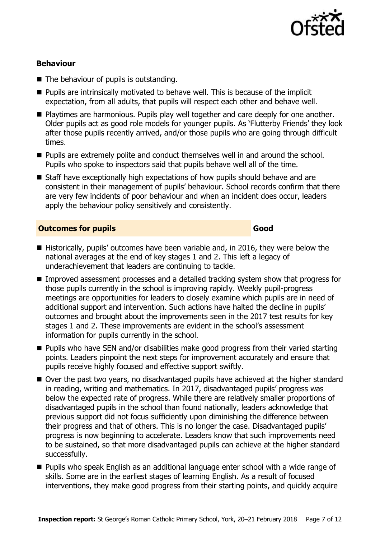

### **Behaviour**

- The behaviour of pupils is outstanding.
- $\blacksquare$  Pupils are intrinsically motivated to behave well. This is because of the implicit expectation, from all adults, that pupils will respect each other and behave well.
- **Playtimes are harmonious. Pupils play well together and care deeply for one another.** Older pupils act as good role models for younger pupils. As 'Flutterby Friends' they look after those pupils recently arrived, and/or those pupils who are going through difficult times.
- **Pupils are extremely polite and conduct themselves well in and around the school.** Pupils who spoke to inspectors said that pupils behave well all of the time.
- Staff have exceptionally high expectations of how pupils should behave and are consistent in their management of pupils' behaviour. School records confirm that there are very few incidents of poor behaviour and when an incident does occur, leaders apply the behaviour policy sensitively and consistently.

### **Outcomes for pupils Good**

- Historically, pupils' outcomes have been variable and, in 2016, they were below the national averages at the end of key stages 1 and 2. This left a legacy of underachievement that leaders are continuing to tackle.
- Improved assessment processes and a detailed tracking system show that progress for those pupils currently in the school is improving rapidly. Weekly pupil-progress meetings are opportunities for leaders to closely examine which pupils are in need of additional support and intervention. Such actions have halted the decline in pupils' outcomes and brought about the improvements seen in the 2017 test results for key stages 1 and 2. These improvements are evident in the school's assessment information for pupils currently in the school.
- Pupils who have SEN and/or disabilities make good progress from their varied starting points. Leaders pinpoint the next steps for improvement accurately and ensure that pupils receive highly focused and effective support swiftly.
- Over the past two years, no disadvantaged pupils have achieved at the higher standard in reading, writing and mathematics. In 2017, disadvantaged pupils' progress was below the expected rate of progress. While there are relatively smaller proportions of disadvantaged pupils in the school than found nationally, leaders acknowledge that previous support did not focus sufficiently upon diminishing the difference between their progress and that of others. This is no longer the case. Disadvantaged pupils' progress is now beginning to accelerate. Leaders know that such improvements need to be sustained, so that more disadvantaged pupils can achieve at the higher standard successfully.
- Pupils who speak English as an additional language enter school with a wide range of skills. Some are in the earliest stages of learning English. As a result of focused interventions, they make good progress from their starting points, and quickly acquire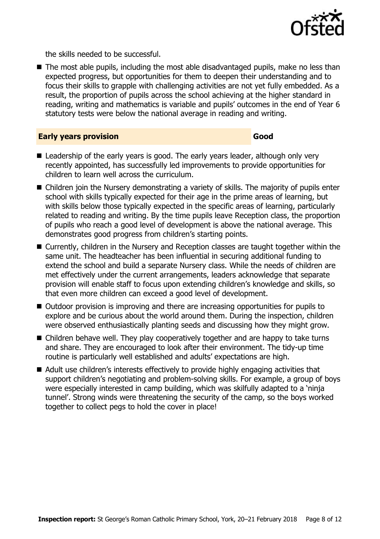

the skills needed to be successful.

■ The most able pupils, including the most able disadvantaged pupils, make no less than expected progress, but opportunities for them to deepen their understanding and to focus their skills to grapple with challenging activities are not yet fully embedded. As a result, the proportion of pupils across the school achieving at the higher standard in reading, writing and mathematics is variable and pupils' outcomes in the end of Year 6 statutory tests were below the national average in reading and writing.

#### **Early years provision Good Good**

- Leadership of the early years is good. The early years leader, although only very recently appointed, has successfully led improvements to provide opportunities for children to learn well across the curriculum.
- Children join the Nursery demonstrating a variety of skills. The majority of pupils enter school with skills typically expected for their age in the prime areas of learning, but with skills below those typically expected in the specific areas of learning, particularly related to reading and writing. By the time pupils leave Reception class, the proportion of pupils who reach a good level of development is above the national average. This demonstrates good progress from children's starting points.
- Currently, children in the Nursery and Reception classes are taught together within the same unit. The headteacher has been influential in securing additional funding to extend the school and build a separate Nursery class. While the needs of children are met effectively under the current arrangements, leaders acknowledge that separate provision will enable staff to focus upon extending children's knowledge and skills, so that even more children can exceed a good level of development.
- Outdoor provision is improving and there are increasing opportunities for pupils to explore and be curious about the world around them. During the inspection, children were observed enthusiastically planting seeds and discussing how they might grow.
- Children behave well. They play cooperatively together and are happy to take turns and share. They are encouraged to look after their environment. The tidy-up time routine is particularly well established and adults' expectations are high.
- Adult use children's interests effectively to provide highly engaging activities that support children's negotiating and problem-solving skills. For example, a group of boys were especially interested in camp building, which was skilfully adapted to a 'ninja tunnel'. Strong winds were threatening the security of the camp, so the boys worked together to collect pegs to hold the cover in place!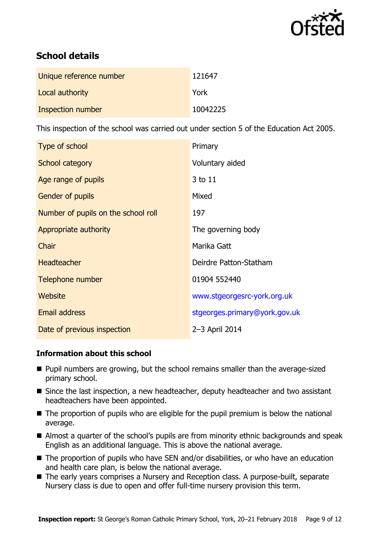

# **School details**

| Unique reference number | 121647   |
|-------------------------|----------|
| Local authority         | York     |
| Inspection number       | 10042225 |

This inspection of the school was carried out under section 5 of the Education Act 2005.

| Type of school                      | Primary                       |
|-------------------------------------|-------------------------------|
| School category                     | Voluntary aided               |
| Age range of pupils                 | 3 to 11                       |
| <b>Gender of pupils</b>             | Mixed                         |
| Number of pupils on the school roll | 197                           |
| Appropriate authority               | The governing body            |
| Chair                               | Marika Gatt                   |
| <b>Headteacher</b>                  | Deirdre Patton-Statham        |
| Telephone number                    | 01904 552440                  |
| Website                             | www.stgeorgesrc-york.org.uk   |
| Email address                       | stgeorges.primary@york.gov.uk |
| Date of previous inspection         | 2-3 April 2014                |

### **Information about this school**

- Pupil numbers are growing, but the school remains smaller than the average-sized primary school.
- Since the last inspection, a new headteacher, deputy headteacher and two assistant headteachers have been appointed.
- The proportion of pupils who are eligible for the pupil premium is below the national average.
- Almost a quarter of the school's pupils are from minority ethnic backgrounds and speak English as an additional language. This is above the national average.
- The proportion of pupils who have SEN and/or disabilities, or who have an education and health care plan, is below the national average.
- The early years comprises a Nursery and Reception class. A purpose-built, separate Nursery class is due to open and offer full-time nursery provision this term.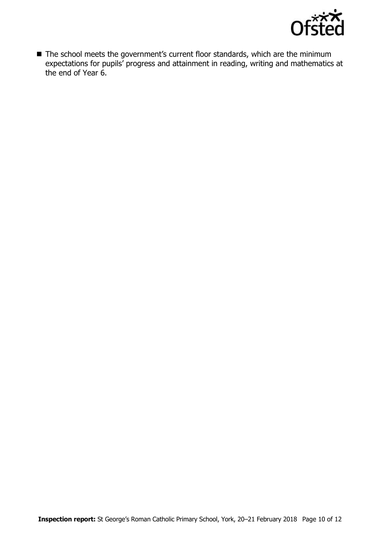

■ The school meets the government's current floor standards, which are the minimum expectations for pupils' progress and attainment in reading, writing and mathematics at the end of Year 6.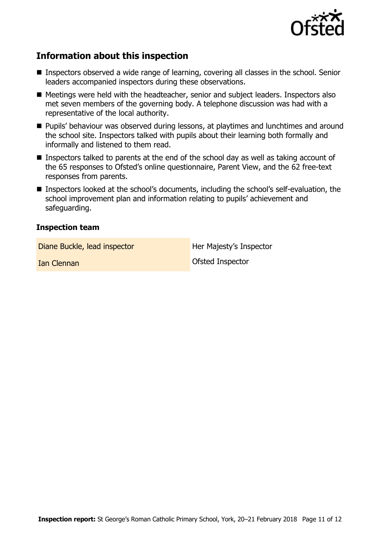

# **Information about this inspection**

- Inspectors observed a wide range of learning, covering all classes in the school. Senior leaders accompanied inspectors during these observations.
- Meetings were held with the headteacher, senior and subiect leaders. Inspectors also met seven members of the governing body. A telephone discussion was had with a representative of the local authority.
- **Pupils' behaviour was observed during lessons, at playtimes and lunchtimes and around** the school site. Inspectors talked with pupils about their learning both formally and informally and listened to them read.
- Inspectors talked to parents at the end of the school day as well as taking account of the 65 responses to Ofsted's online questionnaire, Parent View, and the 62 free-text responses from parents.
- Inspectors looked at the school's documents, including the school's self-evaluation, the school improvement plan and information relating to pupils' achievement and safeguarding.

### **Inspection team**

Diane Buckle, lead inspector **Her Majesty's Inspector** 

**Ian Clennan Clennan Clennan Ofsted Inspector**